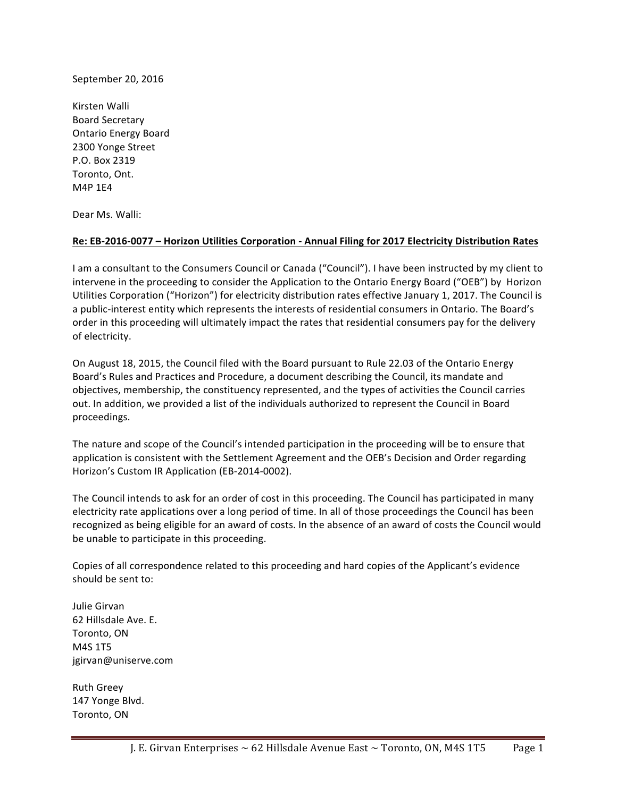September 20, 2016

Kirsten Walli Board Secretary Ontario Energy Board 2300 Yonge Street P.O. Box 2319 Toronto, Ont. M4P 1E4

Dear Ms. Walli:

## **Re: EB-2016-0077 – Horizon Utilities Corporation - Annual Filing for 2017 Electricity Distribution Rates**

I am a consultant to the Consumers Council or Canada ("Council"). I have been instructed by my client to intervene in the proceeding to consider the Application to the Ontario Energy Board ("OEB") by Horizon Utilities Corporation ("Horizon") for electricity distribution rates effective January 1, 2017. The Council is a public-interest entity which represents the interests of residential consumers in Ontario. The Board's order in this proceeding will ultimately impact the rates that residential consumers pay for the delivery of electricity.

On August 18, 2015, the Council filed with the Board pursuant to Rule 22.03 of the Ontario Energy Board's Rules and Practices and Procedure, a document describing the Council, its mandate and objectives, membership, the constituency represented, and the types of activities the Council carries out. In addition, we provided a list of the individuals authorized to represent the Council in Board proceedings. 

The nature and scope of the Council's intended participation in the proceeding will be to ensure that application is consistent with the Settlement Agreement and the OEB's Decision and Order regarding Horizon's Custom IR Application (EB-2014-0002).

The Council intends to ask for an order of cost in this proceeding. The Council has participated in many electricity rate applications over a long period of time. In all of those proceedings the Council has been recognized as being eligible for an award of costs. In the absence of an award of costs the Council would be unable to participate in this proceeding.

Copies of all correspondence related to this proceeding and hard copies of the Applicant's evidence should be sent to:

Julie Girvan 62 Hillsdale Ave. E. Toronto, ON M4S 1T5 jgirvan@uniserve.com

Ruth Greey 147 Yonge Blvd. Toronto, ON